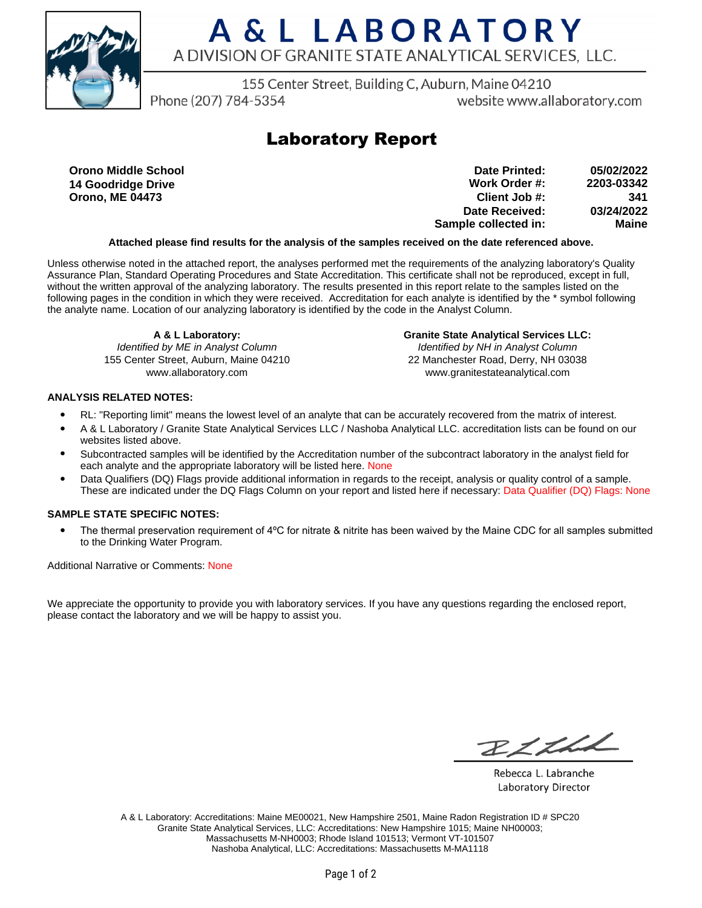

# A & L LABORATORY A DIVISION OF GRANITE STATE ANALYTICAL SERVICES, LLC.

155 Center Street, Building C, Auburn, Maine 04210

Phone (207) 784-5354

website www.allaboratory.com

### **Laboratory Report**

**Orono Middle School 14 Goodridge Drive Orono, ME 04473**

**Work Order #: Client Job #: Date Received: Sample collected in: 2203-03342 341 03/24/2022 Maine Date Printed: 05/02/2022**

#### **Attached please find results for the analysis of the samples received on the date referenced above.**

Unless otherwise noted in the attached report, the analyses performed met the requirements of the analyzing laboratory's Quality Assurance Plan, Standard Operating Procedures and State Accreditation. This certificate shall not be reproduced, except in full, without the written approval of the analyzing laboratory. The results presented in this report relate to the samples listed on the following pages in the condition in which they were received. Accreditation for each analyte is identified by the \* symbol following the analyte name. Location of our analyzing laboratory is identified by the code in the Analyst Column.

**A & L Laboratory:**

Identified by ME in Analyst Column 155 Center Street, Auburn, Maine 04210 www.allaboratory.com

**Granite State Analytical Services LLC:** Identified by NH in Analyst Column 22 Manchester Road, Derry, NH 03038 www.granitestateanalytical.com

#### **ANALYSIS RELATED NOTES:**

- RL: "Reporting limit" means the lowest level of an analyte that can be accurately recovered from the matrix of interest.
- A & L Laboratory / Granite State Analytical Services LLC / Nashoba Analytical LLC. accreditation lists can be found on our websites listed above.
- Subcontracted samples will be identified by the Accreditation number of the subcontract laboratory in the analyst field for each analyte and the appropriate laboratory will be listed here. None
- Data Qualifiers (DQ) Flags provide additional information in regards to the receipt, analysis or quality control of a sample. These are indicated under the DQ Flags Column on your report and listed here if necessary: Data Qualifier (DQ) Flags: None

### **SAMPLE STATE SPECIFIC NOTES:**

• The thermal preservation requirement of 4°C for nitrate & nitrite has been waived by the Maine CDC for all samples submitted to the Drinking Water Program.

Additional Narrative or Comments: None

We appreciate the opportunity to provide you with laboratory services. If you have any questions regarding the enclosed report, please contact the laboratory and we will be happy to assist you.

BLLLL

Rebecca L. Labranche Laboratory Director

A & L Laboratory: Accreditations: Maine ME00021, New Hampshire 2501, Maine Radon Registration ID # SPC20 Granite State Analytical Services, LLC: Accreditations: New Hampshire 1015; Maine NH00003; Massachusetts M-NH0003; Rhode Island 101513; Vermont VT-101507 Nashoba Analytical, LLC: Accreditations: Massachusetts M-MA1118